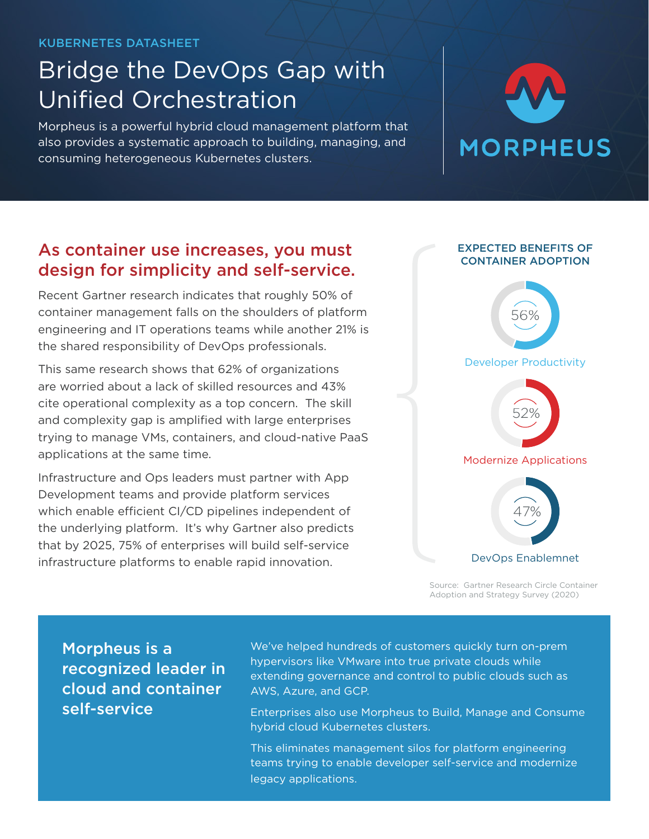#### KUBERNETES DATASHEET

## Bridge the DevOps Gap with Unified Orchestration

Morpheus is a powerful hybrid cloud management platform that also provides a systematic approach to building, managing, and consuming heterogeneous Kubernetes clusters.

# **MORPHEUS**

### As container use increases, you must design for simplicity and self-service.

Recent Gartner research indicates that roughly 50% of container management falls on the shoulders of platform engineering and IT operations teams while another 21% is the shared responsibility of DevOps professionals.

This same research shows that 62% of organizations are worried about a lack of skilled resources and 43% cite operational complexity as a top concern. The skill and complexity gap is amplified with large enterprises trying to manage VMs, containers, and cloud-native PaaS applications at the same time.

Infrastructure and Ops leaders must partner with App Development teams and provide platform services which enable efficient CI/CD pipelines independent of the underlying platform. It's why Gartner also predicts that by 2025, 75% of enterprises will build self-service infrastructure platforms to enable rapid innovation.



Source: Gartner Research Circle Container Adoption and Strategy Survey (2020)

Morpheus is a recognized leader in cloud and container self-service

We've helped hundreds of customers quickly turn on-prem hypervisors like VMware into true private clouds while extending governance and control to public clouds such as AWS, Azure, and GCP.

Enterprises also use Morpheus to Build, Manage and Consume hybrid cloud Kubernetes clusters.

This eliminates management silos for platform engineering teams trying to enable developer self-service and modernize legacy applications.